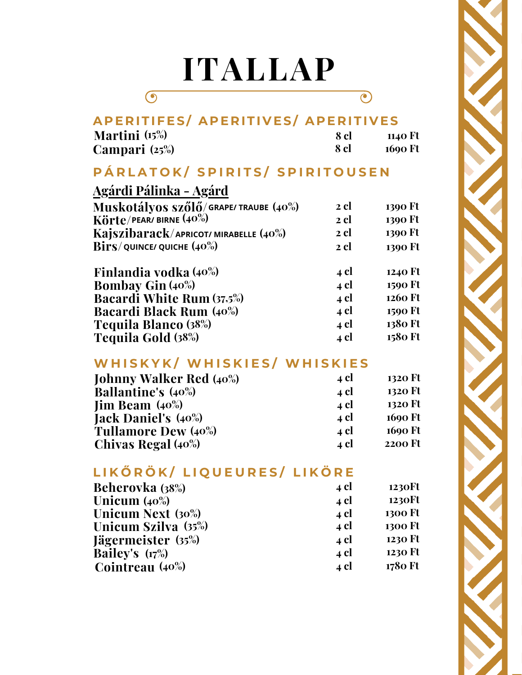# **ITALLAP**

 $\overline{\mathcal{O}}$ 

# **AP ERITIFES/ AP ERITIVES/ AP ERITIVES**

 $\overline{\odot}$ 

| <b>Martini</b> (15%) | 8 cl | -1140 Ft |
|----------------------|------|----------|
| Campari $(25\%)$     | 8 cl | 1690 Ft  |

# PÁRLATOK/ SPIRITS/ SPIRITOUSEN

| <u> Agárdi Pálinka - Agárd</u>       |        |         |
|--------------------------------------|--------|---------|
| Muskotályos szőlő/grape/traube (40%) | 2 cl   | 1390 Ft |
| Körte/PEAR/BIRNE (40%)               | 2 cl   | 1390 Ft |
| Kajszibarack/APRICOT/MIRABELLE (40%) | 2 cl   | 1390 Ft |
| $Birs/$ QUINCE/ QUICHE $(40\%)$      | 2 cl   | 1390 Ft |
| <b>Finlandia vodka</b> (40%)         | 4 cl   | 1240 Ft |
| <b>Bombay Gin (40%)</b>              | 4 cl   | 1590 Ft |
| <b>Bacardi White Rum (37,5%)</b>     | $4$ cl | 1260 Ft |
| <b>Bacardi Black Rum (40%)</b>       | $4$ cl | 1590 Ft |
| Tequila Blanco (38%)                 | $4$ cl | 1380 Ft |
| Tequila Gold (38%)                   | 4 cl   | 1580 Ft |

## **W H I S K Y K / W H I S K I E S / W H I S K I E S**

| <b>Johnny Walker Red (40%)</b> | 4 cl | 1320 Ft        |
|--------------------------------|------|----------------|
| <b>Ballantine's (40%)</b>      | 4 cl | 1320 Ft        |
| $\lim$ Beam $(40\%)$           | 4 cl | 1320 Ft        |
| <b>Jack Daniel's (40%)</b>     | 4 cl | 1690 Ft        |
| Tullamore Dew (40%)            | 4 cl | 1690 Ft        |
| Chivas Regal (40%)             | 4 cl | <b>2200 Ft</b> |

# **L I K Ő R Ö K / L I Q U E U R E S / L I K Ö R E**

| <b>Beherovka</b> (38%) | 4 cl | 1230Ft         |
|------------------------|------|----------------|
| Unicum $(40\%)$        | 4 cl | 1230Ft         |
| Unicum Next (30%)      | 4 cl | <b>1300 Ft</b> |
| Unicum Szilva (35%)    | 4 cl | 1300 Ft        |
| Jägermeister (35%)     | 4 cl | 1230 Ft        |
| Bailey's $(17%)$       | 4 cl | 1230 Ft        |
| Cointreau (40%)        | 4 cl | 1780 Ft        |

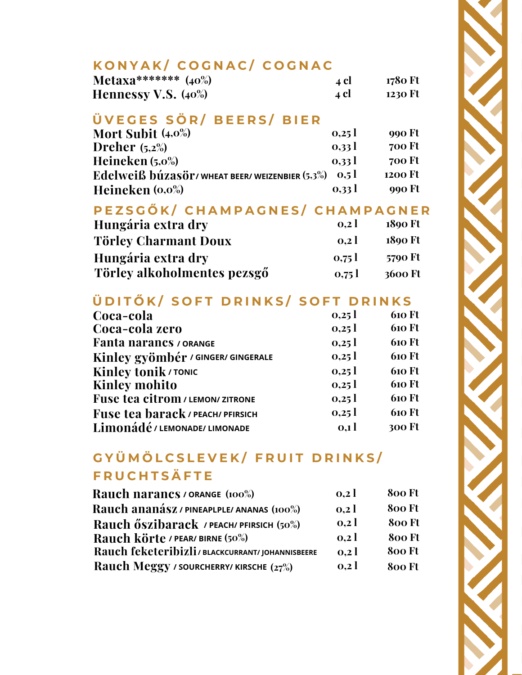## **K O N Y A K / C O G N A C / C O G N A C**

| Metaxa******* $(40\%)$ | 4 CI | 1780 Ft |
|------------------------|------|---------|
| Hennessy V.S. $(40\%)$ | 4 Cl | 1230 Ft |

#### **Ü V E G E S S Ö R / B E E R S / B I E R**

| Mort Subit (4,0%)                                | 0,25             | 990 Ft  |
|--------------------------------------------------|------------------|---------|
| Dreher $(5.2\%)$                                 | 0.331            | 700 Ft  |
| Heineken $(5.0\%)$                               | 0.331            | 700 Ft  |
| Edelweiß búzasör/wheat beer/weizenbier $(5,3\%)$ | 0.5 <sub>1</sub> | 1200 Ft |
| Heineken $(0,0)$                                 | 0.331            | 990 Ft  |

#### PEZSGŐK/ CHAMPAGNES/ CHAMPAGNER

| Hungária extra dry          | 0.21  | 1890 Ft        |
|-----------------------------|-------|----------------|
| <b>Törley Charmant Doux</b> | 0.21  | 1890 Ft        |
| Hungária extra dry          | 0.751 | <b>5790 Ft</b> |
| Törley alkoholmentes pezsgő | 0.751 | 3600 Ft        |

# ÜDITŐK/ SOFT DRINKS/ SOFT DRINKS

| Coca-cola                          | 0,25             | <b>610 Ft</b> |
|------------------------------------|------------------|---------------|
| Coca-cola zero                     | 0,25             | <b>610 Ft</b> |
| <b>Fanta narancs / ORANGE</b>      | 0,251            | <b>610 Ft</b> |
| Kinley gyömbér / GINGER/ GINGERALE | 0,251            | <b>610 Ft</b> |
| <b>Kinley tonik/TONIC</b>          | 0,251            | <b>610 Ft</b> |
| <b>Kinley mohito</b>               | 0,25             | <b>610 Ft</b> |
| Fuse tea citrom / LEMON/ ZITRONE   | 0,251            | <b>610 Ft</b> |
| Fuse tea barack / PEACH/ PFIRSICH  | 0,251            | <b>610 Ft</b> |
| Limonádé / LEMONADE/ LIMONADE      | 0.1 <sub>1</sub> | 300 Ft        |

# GYÜMÖLCSLEVEK/ FRUIT DRINKS/ **F R U C H T S Ä F T E**

| Rauch narancs / ORANGE $(100\%)$                 | 0.21             | 800 Ft |
|--------------------------------------------------|------------------|--------|
| Rauch ananász/pineaplple/ananas (100%)           | 0.2 <sub>1</sub> | 800 Ft |
| Rauch őszibarack / PEACH/ PFIRSICH (50%)         | 0.21             | 800 Ft |
| Rauch körte / PEAR/ BIRNE (50%)                  | 0.21             | 800 Ft |
| Rauch feketeribizli/ BLACKCURRANT/ JOHANNISBEERE | 0.21             | 800 Ft |
| Rauch Meggy / SOURCHERRY/ KIRSCHE $(27%)$        | 0.2 <sub>1</sub> | 800 Ft |